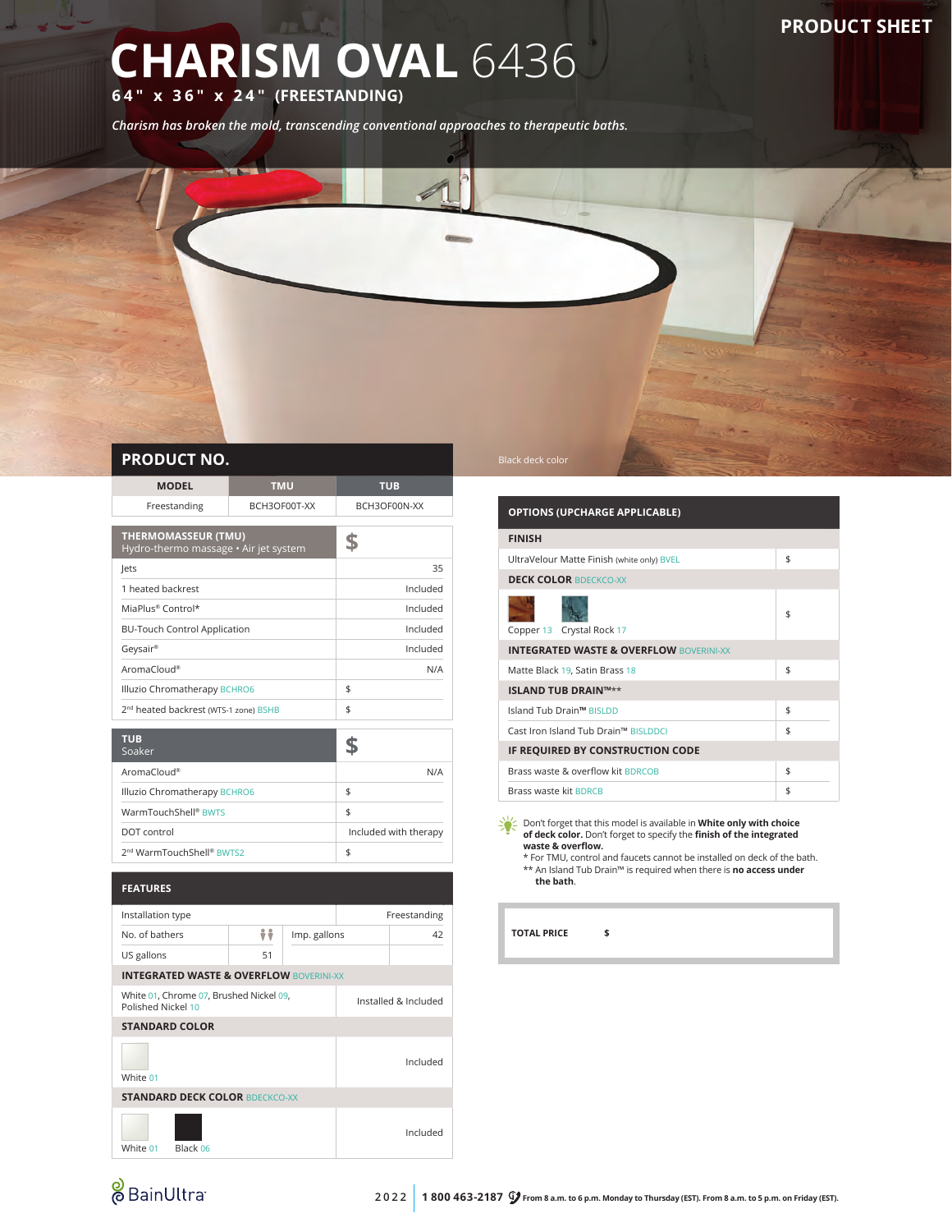## **CHARISM OVAL** 6436

**64" x 36" x 24" (FREESTANDING)**

*Charism has broken the mold, transcending conventional approaches to therapeutic baths.*



| FINUDULI INU. |            |     |
|---------------|------------|-----|
| <b>MODEL</b>  | <b>TMU</b> | TUB |

| Freestanding<br>BCH3OF00T-XX                                        |          | BCH3OF00N-XX |
|---------------------------------------------------------------------|----------|--------------|
| <b>THERMOMASSEUR (TMU)</b><br>Hydro-thermo massage • Air jet system | S        |              |
| Jets                                                                |          | 35           |
| 1 heated backrest                                                   |          | Included     |
| MiaPlus® Control*                                                   |          | Included     |
| <b>BU-Touch Control Application</b>                                 | Included |              |
| Geysair®                                                            | Included |              |
| AromaCloud®                                                         | N/A      |              |
| Illuzio Chromatherapy BCHRO6                                        | \$       |              |
| 2 <sup>nd</sup> heated backrest (WTS-1 zone) BSHB                   | \$       |              |
|                                                                     |          |              |
| <b>TUB</b><br>Soaker                                                |          |              |
| AromaCloud®                                                         | N/A      |              |
| Illuzio Chromatherapy BCHRO6                                        | \$       |              |
| WarmTouchShall® RWTS                                                | ¢        |              |

| DOT control<br>2 <sup>nd</sup> WarmTouchShell® BWTS2 | WarmTouchShell® BWTS |                       |
|------------------------------------------------------|----------------------|-----------------------|
|                                                      |                      | Included with therapy |
|                                                      |                      |                       |

|                                                               | <b>FEATURES</b>                                    |    |                      |  |              |
|---------------------------------------------------------------|----------------------------------------------------|----|----------------------|--|--------------|
|                                                               | Installation type                                  |    |                      |  | Freestanding |
|                                                               | No. of bathers                                     | ÷÷ | Imp. gallons         |  | 42           |
|                                                               | US gallons                                         | 51 |                      |  |              |
|                                                               | <b>INTEGRATED WASTE &amp; OVERFLOW BOVERINI-XX</b> |    |                      |  |              |
| White 01, Chrome 07, Brushed Nickel 09,<br>Polished Nickel 10 |                                                    |    | Installed & Included |  |              |
|                                                               | <b>STANDARD COLOR</b>                              |    |                      |  |              |
|                                                               | White 01                                           |    |                      |  | Included     |
|                                                               | <b>STANDARD DECK COLOR BDECKCO-XX</b>              |    |                      |  |              |
|                                                               | Black 06<br>White 01                               |    |                      |  | Included     |

| <b>OPTIONS (UPCHARGE APPLICABLE)</b>               |    |
|----------------------------------------------------|----|
| <b>FINISH</b>                                      |    |
| UltraVelour Matte Finish (white only) BVEL         | \$ |
| <b>DECK COLOR BDECKCO-XX</b>                       |    |
| Copper 13 Crystal Rock 17                          | \$ |
| <b>INTEGRATED WASTE &amp; OVERFLOW BOVERINI-XX</b> |    |
| Matte Black 19, Satin Brass 18                     | \$ |
| <b>ISLAND TUB DRAIN™**</b>                         |    |
| Island Tub Drain™ BISLDD                           | \$ |
| Cast Iron Island Tub Drain™ BISLDDCI               | \$ |
| IF REQUIRED BY CONSTRUCTION CODE                   |    |
| Brass waste & overflow kit BDRCOB                  | \$ |
| <b>Brass waste kit BDRCB</b>                       | \$ |

**Don't forget that this model is available in White only with choice of deck color.** Don't forget to specify the **finish of the integrated waste & overflow.** \* For TMU, control and faucets cannot be installed on deck of the bath.

\*\* An Island Tub Drain™ is required when there is **no access under the bath**.

**TOTAL PRICE \$**